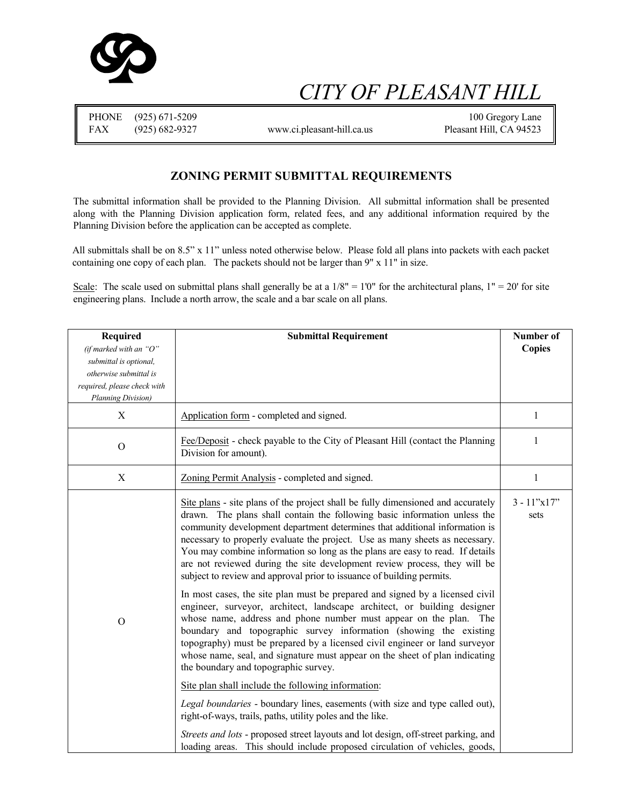

# *CITY OF PLEASANT HILL*

|            | PHONE (925) 671-5209 |                            | 100 Gregory Lane        |
|------------|----------------------|----------------------------|-------------------------|
| <b>FAX</b> | (925) 682-9327       | www.ci.pleasant-hill.ca.us | Pleasant Hill, CA 94523 |

#### **ZONING PERMIT SUBMITTAL REQUIREMENTS**

The submittal information shall be provided to the Planning Division. All submittal information shall be presented along with the Planning Division application form, related fees, and any additional information required by the Planning Division before the application can be accepted as complete.

All submittals shall be on 8.5" x 11" unless noted otherwise below. Please fold all plans into packets with each packet containing one copy of each plan. The packets should not be larger than 9" x 11" in size.

Scale: The scale used on submittal plans shall generally be at a  $1/8" = 1'0"$  for the architectural plans,  $1" = 20'$  for site engineering plans. Include a north arrow, the scale and a bar scale on all plans.

| Required                    | <b>Submittal Requirement</b>                                                                                                                                                                                                                                                                                                                                                                                                                                                                                                                                                                                                                                                                                                                                                                                                                                                                                                                                                                                                                                                                                                        | Number of                  |
|-----------------------------|-------------------------------------------------------------------------------------------------------------------------------------------------------------------------------------------------------------------------------------------------------------------------------------------------------------------------------------------------------------------------------------------------------------------------------------------------------------------------------------------------------------------------------------------------------------------------------------------------------------------------------------------------------------------------------------------------------------------------------------------------------------------------------------------------------------------------------------------------------------------------------------------------------------------------------------------------------------------------------------------------------------------------------------------------------------------------------------------------------------------------------------|----------------------------|
| (if marked with an " $O$ "  |                                                                                                                                                                                                                                                                                                                                                                                                                                                                                                                                                                                                                                                                                                                                                                                                                                                                                                                                                                                                                                                                                                                                     | <b>Copies</b>              |
| submittal is optional,      |                                                                                                                                                                                                                                                                                                                                                                                                                                                                                                                                                                                                                                                                                                                                                                                                                                                                                                                                                                                                                                                                                                                                     |                            |
| otherwise submittal is      |                                                                                                                                                                                                                                                                                                                                                                                                                                                                                                                                                                                                                                                                                                                                                                                                                                                                                                                                                                                                                                                                                                                                     |                            |
| required, please check with |                                                                                                                                                                                                                                                                                                                                                                                                                                                                                                                                                                                                                                                                                                                                                                                                                                                                                                                                                                                                                                                                                                                                     |                            |
| Planning Division)          |                                                                                                                                                                                                                                                                                                                                                                                                                                                                                                                                                                                                                                                                                                                                                                                                                                                                                                                                                                                                                                                                                                                                     |                            |
| X                           | Application form - completed and signed.                                                                                                                                                                                                                                                                                                                                                                                                                                                                                                                                                                                                                                                                                                                                                                                                                                                                                                                                                                                                                                                                                            | $\mathbf{1}$               |
| $\mathcal{O}$               | Fee/Deposit - check payable to the City of Pleasant Hill (contact the Planning<br>Division for amount).                                                                                                                                                                                                                                                                                                                                                                                                                                                                                                                                                                                                                                                                                                                                                                                                                                                                                                                                                                                                                             | $\mathbf{1}$               |
| X                           | Zoning Permit Analysis - completed and signed.                                                                                                                                                                                                                                                                                                                                                                                                                                                                                                                                                                                                                                                                                                                                                                                                                                                                                                                                                                                                                                                                                      | $\mathbf{1}$               |
| $\mathbf{O}$                | Site plans - site plans of the project shall be fully dimensioned and accurately<br>drawn. The plans shall contain the following basic information unless the<br>community development department determines that additional information is<br>necessary to properly evaluate the project. Use as many sheets as necessary.<br>You may combine information so long as the plans are easy to read. If details<br>are not reviewed during the site development review process, they will be<br>subject to review and approval prior to issuance of building permits.<br>In most cases, the site plan must be prepared and signed by a licensed civil<br>engineer, surveyor, architect, landscape architect, or building designer<br>whose name, address and phone number must appear on the plan. The<br>boundary and topographic survey information (showing the existing<br>topography) must be prepared by a licensed civil engineer or land surveyor<br>whose name, seal, and signature must appear on the sheet of plan indicating<br>the boundary and topographic survey.<br>Site plan shall include the following information: | $3 - 11$ "x $17$ "<br>sets |
|                             | Legal boundaries - boundary lines, easements (with size and type called out),<br>right-of-ways, trails, paths, utility poles and the like.                                                                                                                                                                                                                                                                                                                                                                                                                                                                                                                                                                                                                                                                                                                                                                                                                                                                                                                                                                                          |                            |
|                             | Streets and lots - proposed street layouts and lot design, off-street parking, and<br>loading areas. This should include proposed circulation of vehicles, goods,                                                                                                                                                                                                                                                                                                                                                                                                                                                                                                                                                                                                                                                                                                                                                                                                                                                                                                                                                                   |                            |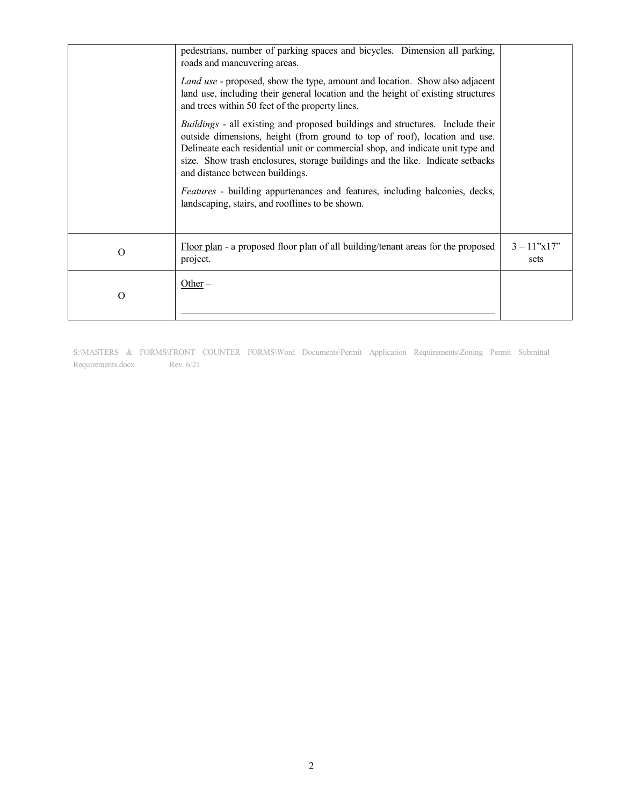|          | pedestrians, number of parking spaces and bicycles. Dimension all parking,<br>roads and maneuvering areas.<br><i>Land use</i> - proposed, show the type, amount and location. Show also adjacent<br>land use, including their general location and the height of existing structures<br>and trees within 50 feet of the property lines.<br>Buildings - all existing and proposed buildings and structures. Include their<br>outside dimensions, height (from ground to top of roof), location and use.<br>Delineate each residential unit or commercial shop, and indicate unit type and<br>size. Show trash enclosures, storage buildings and the like. Indicate setbacks<br>and distance between buildings.<br>Features - building appurtenances and features, including balconies, decks,<br>landscaping, stairs, and rooflines to be shown. |                            |
|----------|-------------------------------------------------------------------------------------------------------------------------------------------------------------------------------------------------------------------------------------------------------------------------------------------------------------------------------------------------------------------------------------------------------------------------------------------------------------------------------------------------------------------------------------------------------------------------------------------------------------------------------------------------------------------------------------------------------------------------------------------------------------------------------------------------------------------------------------------------|----------------------------|
| $\Omega$ | Floor plan - a proposed floor plan of all building/tenant areas for the proposed<br>project.                                                                                                                                                                                                                                                                                                                                                                                                                                                                                                                                                                                                                                                                                                                                                    | $3 - 11$ "x $17$ "<br>sets |
| Ο        | Other $-$                                                                                                                                                                                                                                                                                                                                                                                                                                                                                                                                                                                                                                                                                                                                                                                                                                       |                            |

S:\MASTERS & FORMS\FRONT COUNTER FORMS\Word Documents\Permit Application Requirements\Zoning Permit Submittal Requirements.docx Rev. 6/21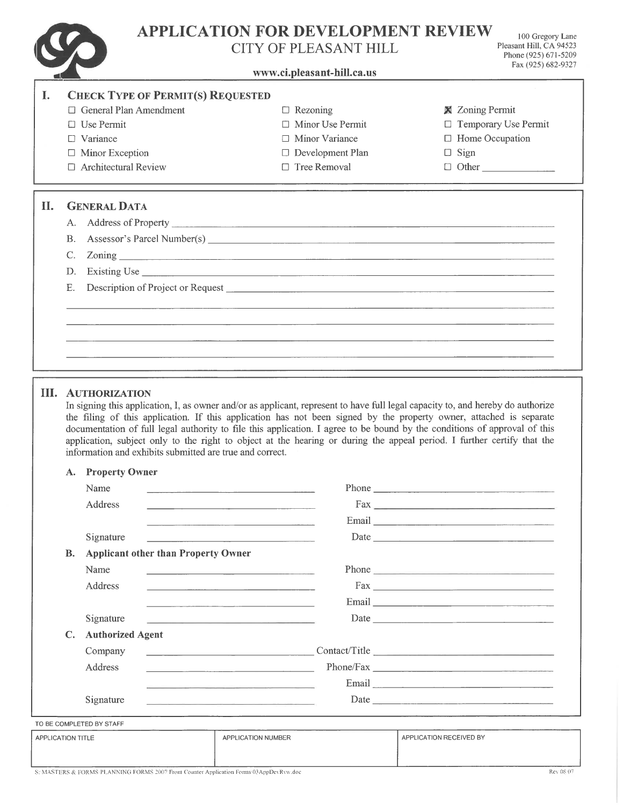**APPLICATION FOR DEVELOPMENT REVIEW** 

 $\sum_{i=1}^n$  $\sqrt{2}$ 

## CITY OF PLEASANT HILL

100 Gregory Lane Pleasant Hill, CA 94523 Phone (925) 671-5209 Fax (925) 682-9327

|     |                                                          | CH Y OF PLEASANT HILL                                                                                                                                                                                                                                | Phone (925) 671-5209<br>Fax (925) 682-9327 |
|-----|----------------------------------------------------------|------------------------------------------------------------------------------------------------------------------------------------------------------------------------------------------------------------------------------------------------------|--------------------------------------------|
|     |                                                          | www.ci.pleasant-hill.ca.us                                                                                                                                                                                                                           |                                            |
| I.  | <b>CHECK TYPE OF PERMIT(S) REQUESTED</b>                 |                                                                                                                                                                                                                                                      |                                            |
|     | □ General Plan Amendment                                 | $\Box$ Rezoning                                                                                                                                                                                                                                      | <b>X</b> Zoning Permit                     |
|     | $\Box$ Use Permit                                        | $\Box$ Minor Use Permit                                                                                                                                                                                                                              | □ Temporary Use Permit                     |
|     | $\Box$ Variance                                          | □ Minor Variance                                                                                                                                                                                                                                     | $\Box$ Home Occupation                     |
|     | $\Box$ Minor Exception                                   | $\Box$ Development Plan                                                                                                                                                                                                                              | $\Box$ Sign                                |
|     | □ Architectural Review                                   | $\Box$ Tree Removal                                                                                                                                                                                                                                  | $\Box$ Other                               |
| II. | <b>GENERAL DATA</b>                                      |                                                                                                                                                                                                                                                      |                                            |
|     |                                                          |                                                                                                                                                                                                                                                      |                                            |
|     | В.                                                       |                                                                                                                                                                                                                                                      |                                            |
|     | C.                                                       |                                                                                                                                                                                                                                                      |                                            |
|     | D.                                                       |                                                                                                                                                                                                                                                      |                                            |
|     | Ε.                                                       |                                                                                                                                                                                                                                                      |                                            |
|     |                                                          |                                                                                                                                                                                                                                                      |                                            |
|     |                                                          |                                                                                                                                                                                                                                                      |                                            |
|     |                                                          |                                                                                                                                                                                                                                                      |                                            |
|     |                                                          |                                                                                                                                                                                                                                                      |                                            |
|     |                                                          |                                                                                                                                                                                                                                                      |                                            |
|     | information and exhibits submitted are true and correct. | documentation of full legal authority to file this application. I agree to be bound by the conditions of approval of this<br>application, subject only to the right to object at the hearing or during the appeal period. I further certify that the |                                            |
|     | <b>Property Owner</b><br>А.                              |                                                                                                                                                                                                                                                      |                                            |
|     | Name                                                     |                                                                                                                                                                                                                                                      | <b>Phone</b> Phone <b>Phone</b>            |
|     | Address                                                  | Fax                                                                                                                                                                                                                                                  |                                            |
|     |                                                          |                                                                                                                                                                                                                                                      |                                            |
|     |                                                          | the company of the company of the company of the company of the company of                                                                                                                                                                           |                                            |
|     | Signature                                                | the contract of the contract of the contract of the contract of                                                                                                                                                                                      | Date                                       |
|     | <b>Applicant other than Property Owner</b><br>В.         |                                                                                                                                                                                                                                                      |                                            |
|     | Name                                                     | the control of the control of the control of the control of the control of                                                                                                                                                                           |                                            |
|     | Address                                                  |                                                                                                                                                                                                                                                      |                                            |
|     |                                                          |                                                                                                                                                                                                                                                      |                                            |
|     | Signature                                                |                                                                                                                                                                                                                                                      |                                            |
|     | <b>Authorized Agent</b><br>$\mathbf{C}$ .                |                                                                                                                                                                                                                                                      |                                            |
|     | Company                                                  |                                                                                                                                                                                                                                                      |                                            |
|     | Address                                                  |                                                                                                                                                                                                                                                      |                                            |
|     |                                                          |                                                                                                                                                                                                                                                      |                                            |
|     |                                                          |                                                                                                                                                                                                                                                      |                                            |
|     | Signature                                                | the control of the control of the control of the control of the control of the control of                                                                                                                                                            |                                            |
|     | TO BE COMPLETED BY STAFF                                 |                                                                                                                                                                                                                                                      |                                            |
|     | APPLICATION TITLE                                        | APPLICATION NUMBER                                                                                                                                                                                                                                   | APPLICATION RECEIVED BY                    |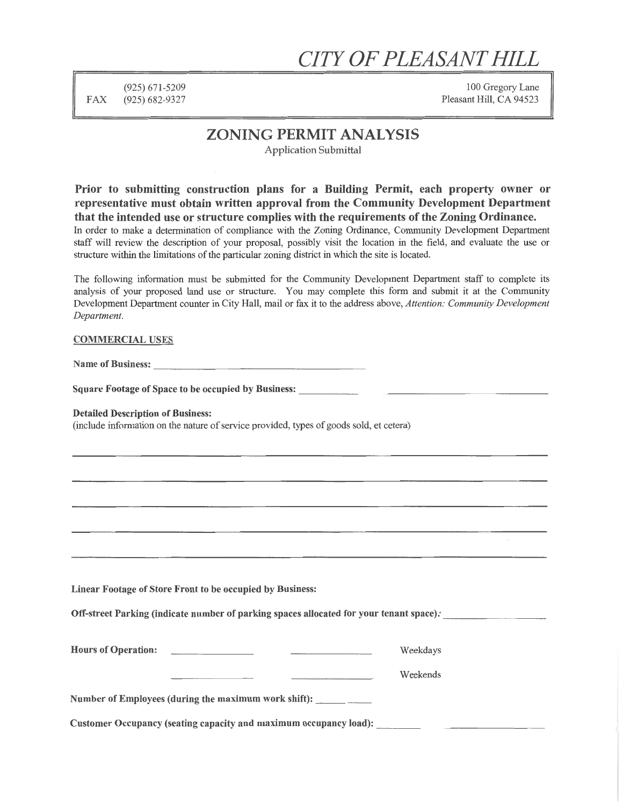## *CITY OF PLEASANT HILL*

(925) 671-5209 FAX (925) 682-9327

100 Gregory Lane Pleasant Hill, CA 94523

### ZONING PERMIT ANALYSIS

Application Submittal

Prior to submitting construction plans for a Building Permit, each property owner or representative must obtain written approval from the Community Development Department that the intended use or structure complies with the requirements of the Zoning Ordinance. In order to make a determination of compliance with the Zoning Ordinance, Community Development Department staff will review the description of your proposal, possibly visit the location in the field, and evaluate the use or structure within the limitations of the particular zoning district in which the site is located.

The following information must be submitted for the Community Development Department staff to complete its analysis of your proposed land use or structure. You may complete this form and submit it at the Community Development Department counter in City Hall, mail or fax it to the address above, *Attention: Community Development Department.* 

#### COMMERCIAL USES

Name of Business:  $\blacksquare$ 

Square Footage of Space to be occupied by Business:

#### Detailed Description of Business:

(include information on the nature of service provided, types of goods sold, et cetera)

Linear Footage of Store Front to be occupied by Business:

Off-street Parking (indicate number of parking spaces allocated for your tenant space): \_

| <b>Hours of Operation:</b> |  | Weekdays |
|----------------------------|--|----------|
|                            |  | Weekends |

Number of Employees (during the maximum work shift): \_

Customer Occupancy (seating capacity and maximum occupancy load): \_